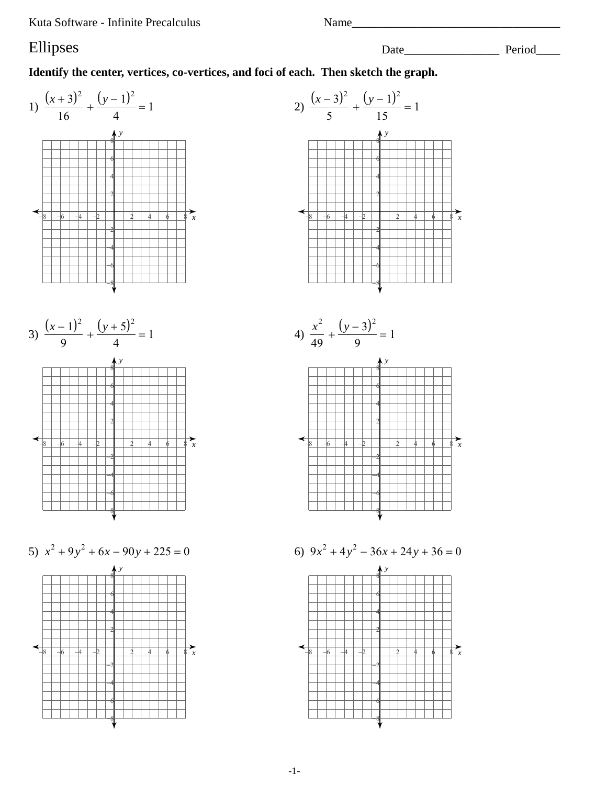Kuta Software - Infinite Precalculus

## Ellipses

Identify the center, vertices, co-vertices, and foci of each. Then sketch the graph.



Date Period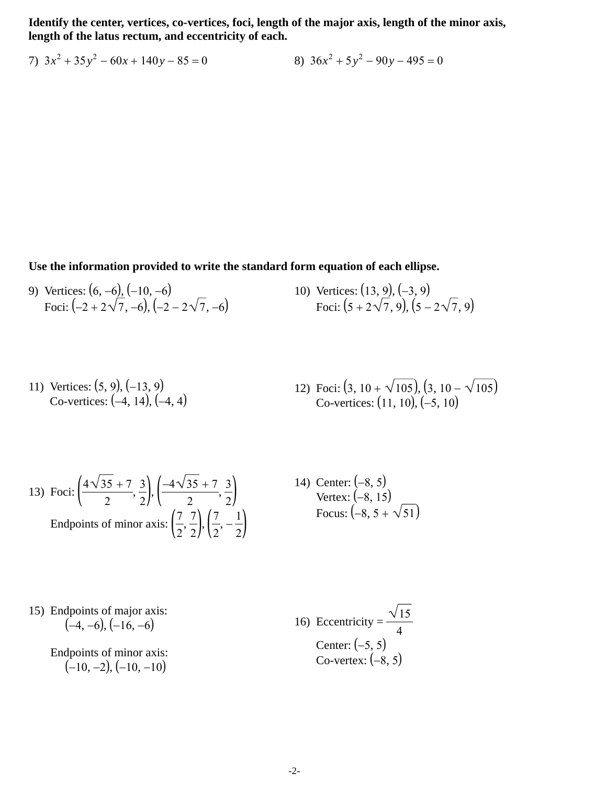**Identify the center, vertices, co-vertices, foci, length of the major axis, length of the minor axis, length of the latus rectum, and eccentricity of each.**

7) 
$$
3x^2 + 35y^2 - 60x + 140y - 85 = 0
$$
  
8)  $36x^2 + 5y^2 - 90y - 495 = 0$ 

**Use the information provided to write the standard form equation of each ellipse.**

9) Vertices:  $(6, -6)$ ,  $(-10, -6)$ Foci:  $(-2 + 2\sqrt{7}, -6), (-2 - 2\sqrt{7}, -6)$  10) Vertices:  $(13, 9)$ ,  $(-3, 9)$ Foci:  $(5 + 2\sqrt{7}, 9)$ ,  $(5 - 2\sqrt{7}, 9)$ 

11) Vertices: 
$$
(5, 9)
$$
,  $(-13, 9)$   
Co-vertices:  $(-4, 14)$ ,  $(-4, 4)$   
12) Foci:  $(3, 10 + \sqrt{105})$ ,  $(3, 10 - \sqrt{105})$   
Co-vertices:  $(11, 10)$ ,  $(-5, 10)$ 

13) Foci: 
$$
\left(\frac{4\sqrt{35+7}}{2}, \frac{3}{2}\right), \left(\frac{-4\sqrt{35+7}}{2}, \frac{3}{2}\right)
$$
  
Endpoints of minor axis:  $\left(\frac{7}{2}, \frac{7}{2}\right), \left(\frac{7}{2}, -\frac{1}{2}\right)$ 

14) Center:  $(-8, 5)$ Vertex:  $(-8, 15)$ Focus:  $(-8, 5 + \sqrt{51})$ 

15) Endpoints of major axis:  $(-4, -6), (-16, -6)$ 

> Endpoints of minor axis:  $(-10, -2), (-10, -10)$

16) Eccentricity =  $\frac{\sqrt{15}}{1}$ 4 Center:  $(-5, 5)$ Co-vertex:  $(-8, 5)$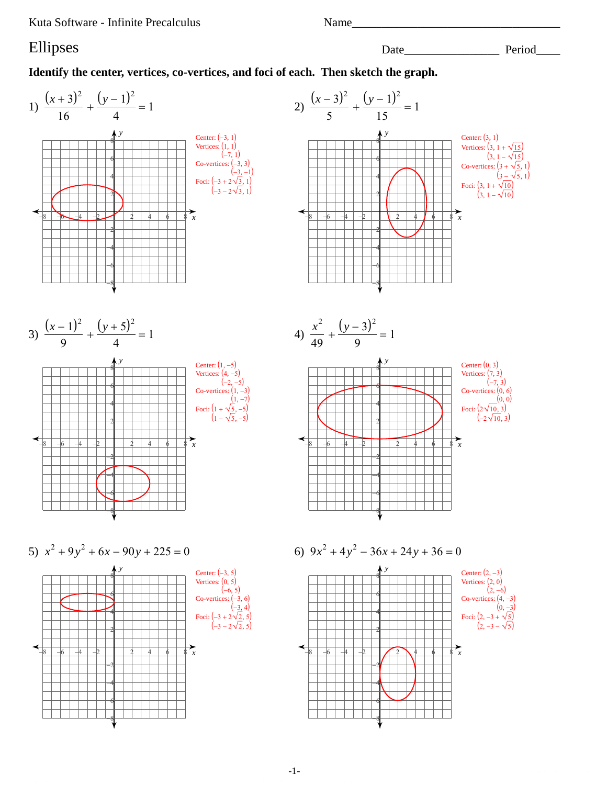Kuta Software - Infinite Precalculus

Name

Date Period

## Ellipses

Identify the center, vertices, co-vertices, and foci of each. Then sketch the graph.



 $-1-$